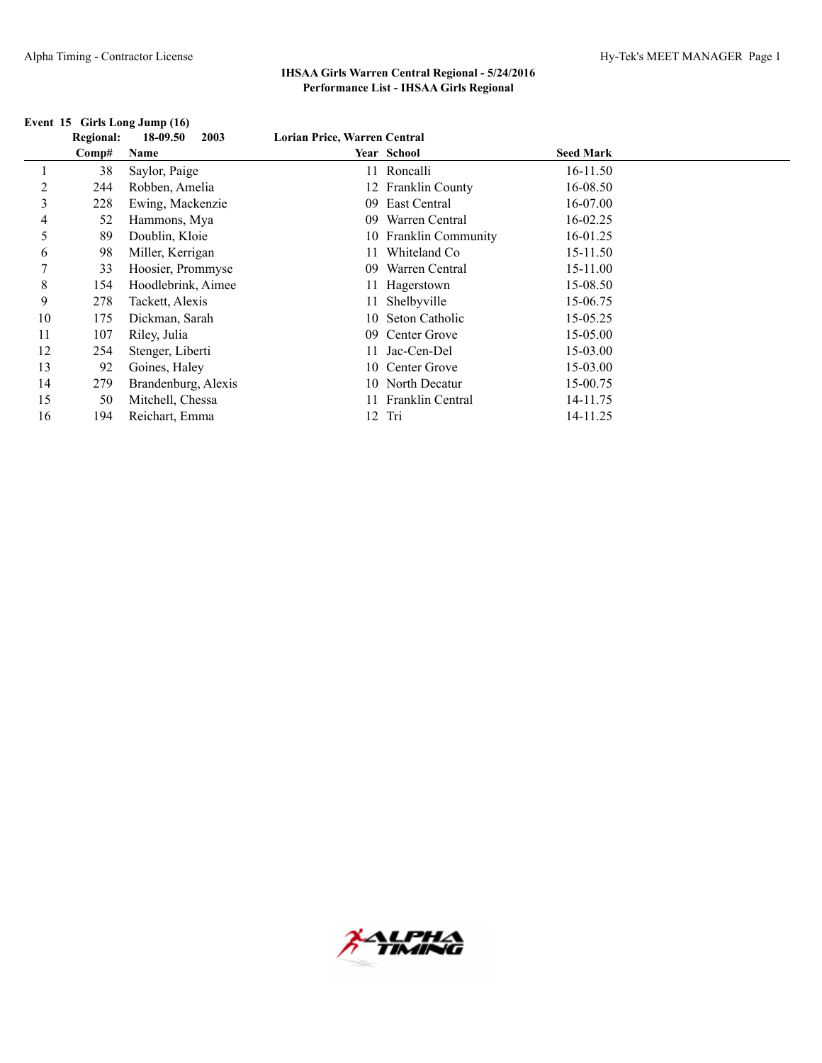|    | <b>Regional:</b> | 18-09.50<br>2003    | Lorian Price, Warren Central |                       |                  |  |
|----|------------------|---------------------|------------------------------|-----------------------|------------------|--|
|    | Comp#            | Name                |                              | <b>Year School</b>    | <b>Seed Mark</b> |  |
|    | 38               | Saylor, Paige       |                              | 11 Roncalli           | 16-11.50         |  |
| 2  | 244              | Robben, Amelia      |                              | 12 Franklin County    | 16-08.50         |  |
| 3  | 228              | Ewing, Mackenzie    | 09                           | East Central          | 16-07.00         |  |
| 4  | 52               | Hammons, Mya        | 09                           | Warren Central        | 16-02.25         |  |
| 5  | 89               | Doublin, Kloie      |                              | 10 Franklin Community | 16-01.25         |  |
| 6  | 98               | Miller, Kerrigan    |                              | Whiteland Co          | 15-11.50         |  |
| 7  | 33               | Hoosier, Prommyse   | 09                           | Warren Central        | 15-11.00         |  |
| 8  | 154              | Hoodlebrink, Aimee  |                              | 11 Hagerstown         | 15-08.50         |  |
| 9  | 278              | Tackett, Alexis     |                              | 11 Shelbyville        | 15-06.75         |  |
| 10 | 175              | Dickman, Sarah      |                              | 10 Seton Catholic     | 15-05.25         |  |
| 11 | 107              | Riley, Julia        | 09                           | Center Grove          | 15-05.00         |  |
| 12 | 254              | Stenger, Liberti    |                              | 11 Jac-Cen-Del        | 15-03.00         |  |
| 13 | 92               | Goines, Haley       |                              | 10 Center Grove       | 15-03.00         |  |
| 14 | 279              | Brandenburg, Alexis |                              | 10 North Decatur      | 15-00.75         |  |
| 15 | 50               | Mitchell, Chessa    |                              | 11 Franklin Central   | 14-11.75         |  |
| 16 | 194              | Reichart, Emma      |                              | 12 Tri                | 14-11.25         |  |

## **Event 15 Girls Long Jump (16)**

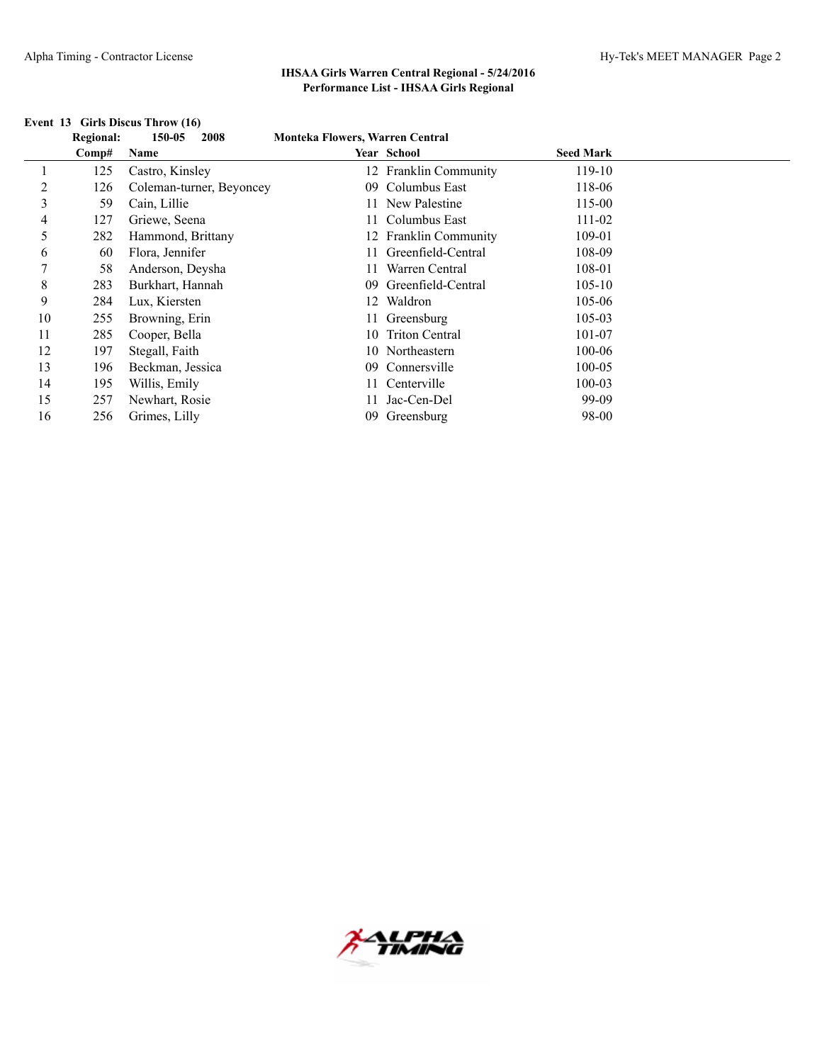|    | <b>Regional:</b> | 150-05<br>2008           | <b>Monteka Flowers, Warren Central</b> |                       |                  |  |
|----|------------------|--------------------------|----------------------------------------|-----------------------|------------------|--|
|    | Comp#            | Name                     |                                        | Year School           | <b>Seed Mark</b> |  |
|    | 125              | Castro, Kinsley          |                                        | 12 Franklin Community | 119-10           |  |
| 2  | 126              | Coleman-turner, Beyoncey | $^{09}$                                | Columbus East         | 118-06           |  |
| 3  | 59               | Cain, Lillie             |                                        | 11 New Palestine      | 115-00           |  |
| 4  | 127              | Griewe, Seena            |                                        | 11 Columbus East      | 111-02           |  |
| 5  | 282              | Hammond, Brittany        |                                        | 12 Franklin Community | 109-01           |  |
| 6  | 60               | Flora, Jennifer          |                                        | 11 Greenfield-Central | 108-09           |  |
| 7  | 58               | Anderson, Deysha         |                                        | Warren Central        | 108-01           |  |
| 8  | 283              | Burkhart, Hannah         |                                        | 09 Greenfield-Central | $105 - 10$       |  |
| 9  | 284              | Lux, Kiersten            | 12                                     | Waldron               | 105-06           |  |
| 10 | 255              | Browning, Erin           |                                        | 11 Greensburg         | $105 - 03$       |  |
| 11 | 285              | Cooper, Bella            |                                        | 10 Triton Central     | 101-07           |  |
| 12 | 197              | Stegall, Faith           |                                        | 10 Northeastern       | 100-06           |  |
| 13 | 196              | Beckman, Jessica         | 09                                     | Connersville          | 100-05           |  |
| 14 | 195              | Willis, Emily            | 11.                                    | Centerville           | 100-03           |  |
| 15 | 257              | Newhart, Rosie           |                                        | Jac-Cen-Del           | 99-09            |  |
| 16 | 256              | Grimes, Lilly            | 09                                     | Greensburg            | 98-00            |  |

## **Event 13 Girls Discus Throw (16)**

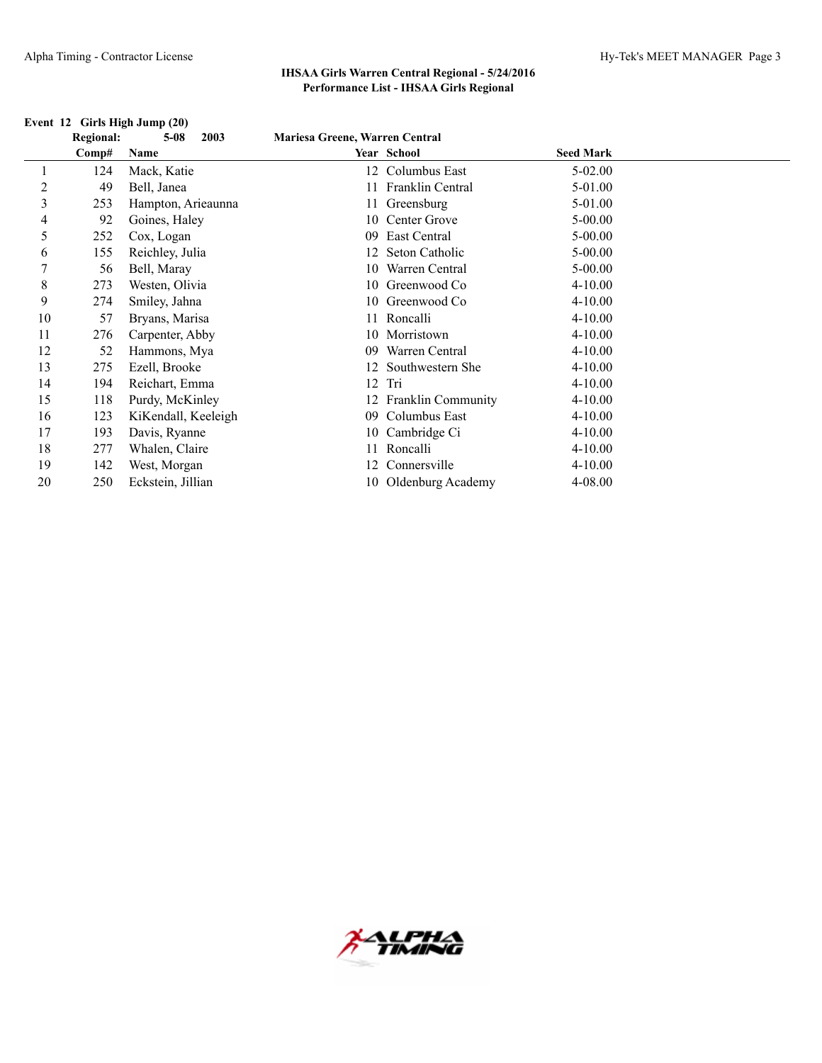|                | <b>Regional:</b> | $5 - 08$<br>2003    | Mariesa Greene, Warren Central |                           |                  |  |
|----------------|------------------|---------------------|--------------------------------|---------------------------|------------------|--|
|                | Comp#            | Name                |                                | Year School               | <b>Seed Mark</b> |  |
|                | 124              | Mack, Katie         | 12                             | Columbus East             | $5 - 02.00$      |  |
| $\overline{c}$ | 49               | Bell, Janea         |                                | 11 Franklin Central       | 5-01.00          |  |
| 3              | 253              | Hampton, Arieaunna  |                                | 11 Greensburg             | 5-01.00          |  |
| 4              | 92               | Goines, Haley       | 10                             | Center Grove              | $5 - 00.00$      |  |
| 5              | 252              | Cox, Logan          | 09                             | East Central              | $5 - 00.00$      |  |
| 6              | 155              | Reichley, Julia     |                                | Seton Catholic            | $5 - 00.00$      |  |
| 7              | 56               | Bell, Maray         | 10                             | Warren Central            | $5 - 00.00$      |  |
| 8              | 273              | Westen, Olivia      | 10                             | Greenwood Co              | $4 - 10.00$      |  |
| 9              | 274              | Smiley, Jahna       |                                | 10 Greenwood Co           | $4 - 10.00$      |  |
| 10             | 57               | Bryans, Marisa      |                                | 11 Roncalli               | $4 - 10.00$      |  |
| 11             | 276              | Carpenter, Abby     |                                | 10 Morristown             | $4 - 10.00$      |  |
| 12             | 52               | Hammons, Mya        | 09                             | Warren Central            | $4 - 10.00$      |  |
| 13             | 275              | Ezell, Brooke       |                                | Southwestern She          | $4 - 10.00$      |  |
| 14             | 194              | Reichart, Emma      | 12                             | Tri                       | $4 - 10.00$      |  |
| 15             | 118              | Purdy, McKinley     |                                | <b>Franklin Community</b> | $4 - 10.00$      |  |
| 16             | 123              | KiKendall, Keeleigh | 09                             | Columbus East             | $4 - 10.00$      |  |
| 17             | 193              | Davis, Ryanne       |                                | 10 Cambridge Ci           | $4 - 10.00$      |  |
| 18             | 277              | Whalen, Claire      |                                | Roncalli                  | $4 - 10.00$      |  |
| 19             | 142              | West, Morgan        | 12                             | Connersville              | $4 - 10.00$      |  |
| 20             | 250              | Eckstein, Jillian   |                                | 10 Oldenburg Academy      | 4-08.00          |  |

## **Event 12 Girls High Jump (20)**

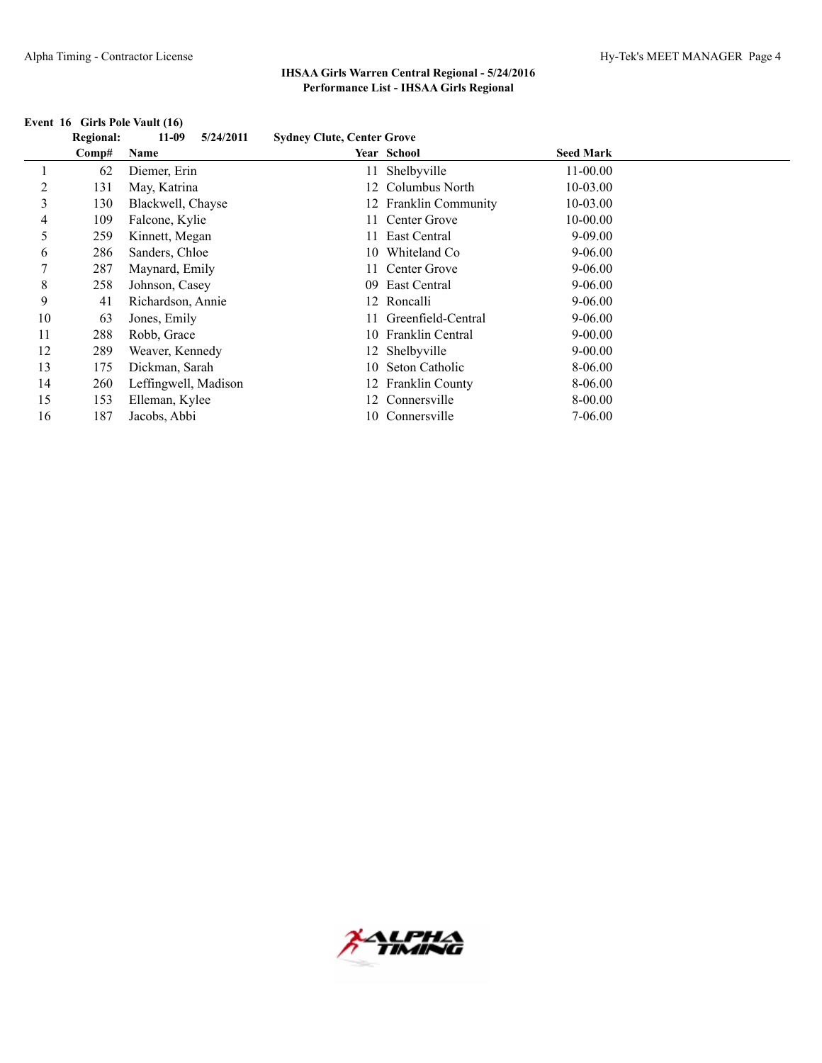## **Event 16 Girls Pole Vault (16)**

|    | Event 16 Girls Pole Vault (16) |                      |                                   |                       |                  |  |
|----|--------------------------------|----------------------|-----------------------------------|-----------------------|------------------|--|
|    | <b>Regional:</b>               | $11-09$<br>5/24/2011 | <b>Sydney Clute, Center Grove</b> |                       |                  |  |
|    | Comp#                          | Name                 |                                   | Year School           | <b>Seed Mark</b> |  |
|    | 62                             | Diemer, Erin         |                                   | 11 Shelbyville        | $11 - 00.00$     |  |
| 2  | 131                            | May, Katrina         |                                   | 12 Columbus North     | 10-03.00         |  |
| 3  | 130                            | Blackwell, Chayse    |                                   | 12 Franklin Community | 10-03.00         |  |
| 4  | 109                            | Falcone, Kylie       |                                   | Center Grove          | 10-00.00         |  |
| 5  | 259                            | Kinnett, Megan       |                                   | East Central          | $9 - 09.00$      |  |
| 6  | 286                            | Sanders, Chloe       | 10                                | Whiteland Co          | $9 - 06.00$      |  |
|    | 287                            | Maynard, Emily       |                                   | Center Grove          | $9 - 06.00$      |  |
| 8  | 258                            | Johnson, Casey       | $^{09}$                           | East Central          | $9 - 06.00$      |  |
| 9  | 41                             | Richardson, Annie    |                                   | 12 Roncalli           | $9 - 06.00$      |  |
| 10 | 63                             | Jones, Emily         |                                   | Greenfield-Central    | $9 - 06.00$      |  |
| 11 | 288                            | Robb, Grace          |                                   | 10 Franklin Central   | $9 - 00.00$      |  |
| 12 | 289                            | Weaver, Kennedy      |                                   | 12 Shelbyville        | $9 - 00.00$      |  |
| 13 | 175                            | Dickman, Sarah       | 10.                               | Seton Catholic        | 8-06.00          |  |
| 14 | 260                            | Leffingwell, Madison |                                   | 12 Franklin County    | 8-06.00          |  |
| 15 | 153                            | Elleman, Kylee       | 12                                | Connersville          | 8-00.00          |  |
| 16 | 187                            | Jacobs, Abbi         | 10.                               | Connersville          | 7-06.00          |  |
|    |                                |                      |                                   |                       |                  |  |

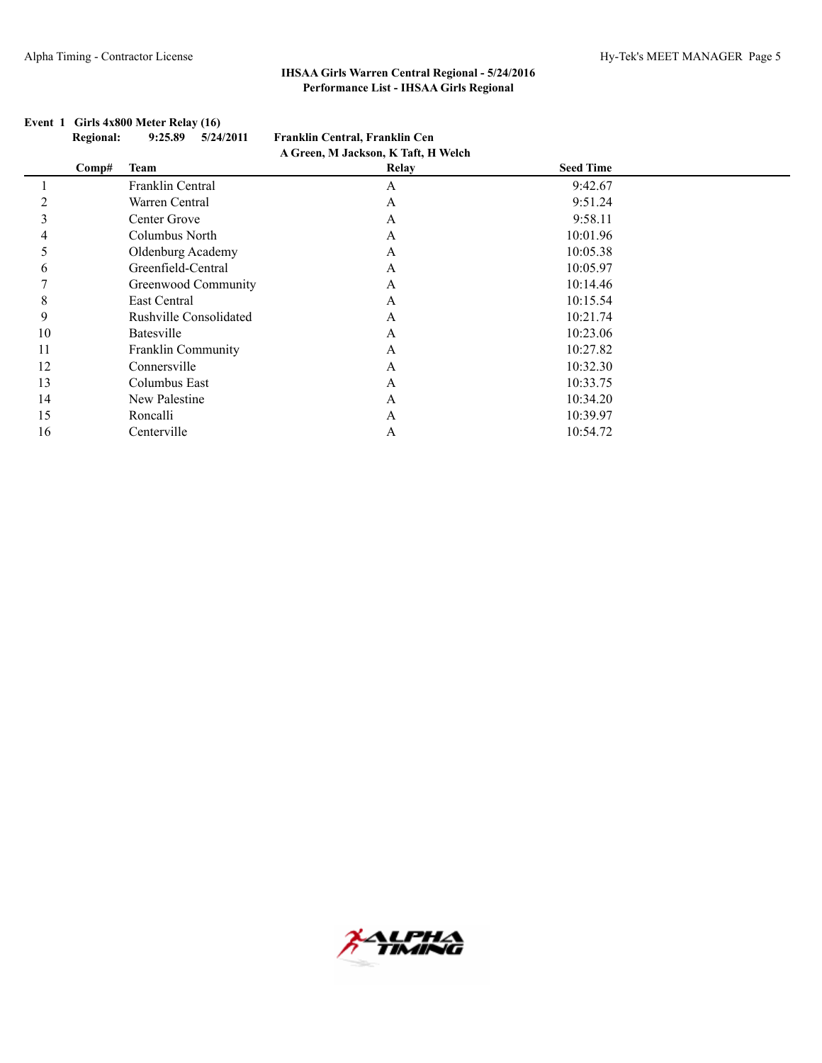|    | <b>Regional:</b> | 5/24/2011<br>9:25.89   | Franklin Central, Franklin Cen      |                  |  |
|----|------------------|------------------------|-------------------------------------|------------------|--|
|    |                  |                        | A Green, M Jackson, K Taft, H Welch |                  |  |
|    | Comp#            | <b>Team</b>            | Relay                               | <b>Seed Time</b> |  |
|    |                  | Franklin Central       | A                                   | 9:42.67          |  |
|    |                  | Warren Central         | A                                   | 9:51.24          |  |
|    |                  | Center Grove           | A                                   | 9:58.11          |  |
|    |                  | Columbus North         | A                                   | 10:01.96         |  |
|    |                  | Oldenburg Academy      | A                                   | 10:05.38         |  |
| 6  |                  | Greenfield-Central     | A                                   | 10:05.97         |  |
|    |                  | Greenwood Community    | A                                   | 10:14.46         |  |
| 8  |                  | East Central           | $\mathsf{A}$                        | 10:15.54         |  |
| 9  |                  | Rushville Consolidated | A                                   | 10:21.74         |  |
| 10 |                  | Batesville             | A                                   | 10:23.06         |  |
| 11 |                  | Franklin Community     | A                                   | 10:27.82         |  |
| 12 |                  | Connersville           | A                                   | 10:32.30         |  |
| 13 |                  | Columbus East          | A                                   | 10:33.75         |  |
| 14 |                  | New Palestine          | A                                   | 10:34.20         |  |
| 15 |                  | Roncalli               | A                                   | 10:39.97         |  |
| 16 |                  | Centerville            | А                                   | 10:54.72         |  |
|    |                  |                        |                                     |                  |  |

## **Event 1 Girls 4x800 Meter Relay (16)**

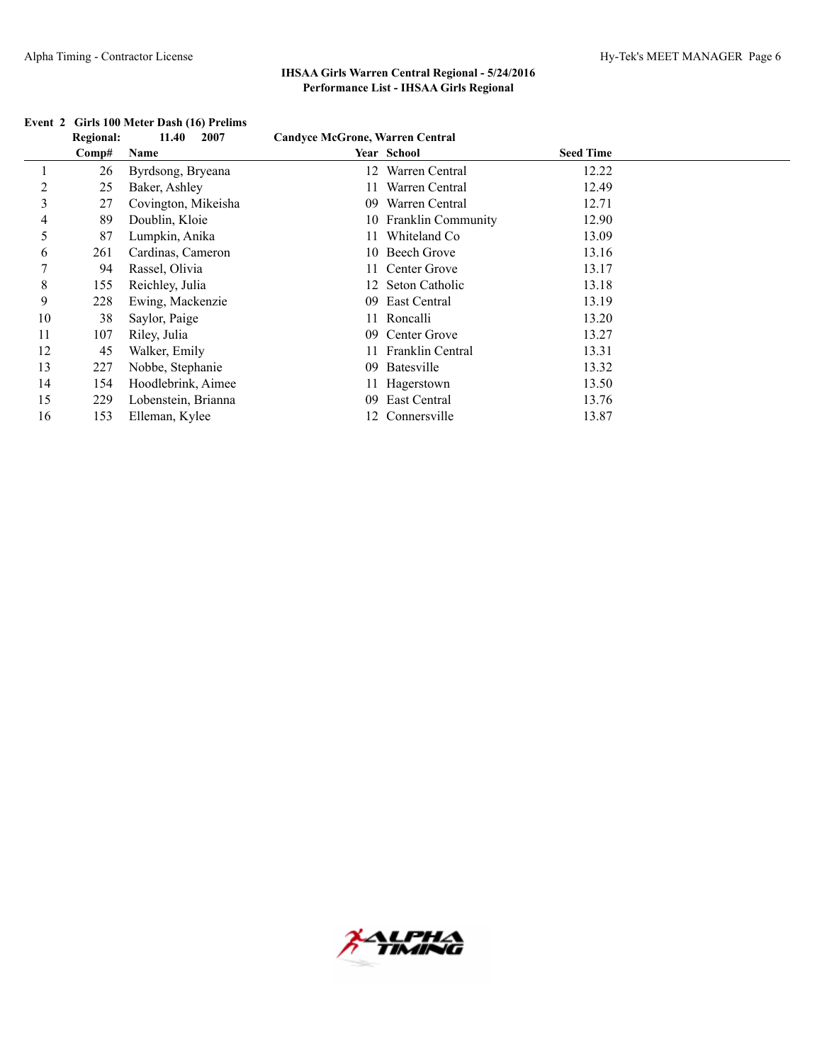|    | <b>Regional:</b> | 11.40<br>2007       | <b>Candyce McGrone, Warren Central</b> |                       |                  |  |
|----|------------------|---------------------|----------------------------------------|-----------------------|------------------|--|
|    | Comp#            | Name                |                                        | <b>Year School</b>    | <b>Seed Time</b> |  |
|    | 26               | Byrdsong, Bryeana   |                                        | 12 Warren Central     | 12.22            |  |
| 2  | 25               | Baker, Ashley       |                                        | Warren Central        | 12.49            |  |
| 3  | 27               | Covington, Mikeisha | 09                                     | Warren Central        | 12.71            |  |
| 4  | 89               | Doublin, Kloie      |                                        | 10 Franklin Community | 12.90            |  |
| 5  | 87               | Lumpkin, Anika      |                                        | Whiteland Co          | 13.09            |  |
| 6  | 261              | Cardinas, Cameron   |                                        | 10 Beech Grove        | 13.16            |  |
| 7  | 94               | Rassel, Olivia      |                                        | 11 Center Grove       | 13.17            |  |
| 8  | 155              | Reichley, Julia     |                                        | 12 Seton Catholic     | 13.18            |  |
| 9  | 228              | Ewing, Mackenzie    | 09.                                    | East Central          | 13.19            |  |
| 10 | 38               | Saylor, Paige       |                                        | 11 Roncalli           | 13.20            |  |
| 11 | 107              | Riley, Julia        | 09                                     | Center Grove          | 13.27            |  |
| 12 | 45               | Walker, Emily       |                                        | 11 Franklin Central   | 13.31            |  |
| 13 | 227              | Nobbe, Stephanie    | 09                                     | Batesville            | 13.32            |  |
| 14 | 154              | Hoodlebrink, Aimee  |                                        | 11 Hagerstown         | 13.50            |  |
| 15 | 229              | Lobenstein, Brianna | 09                                     | East Central          | 13.76            |  |
| 16 | 153              | Elleman, Kylee      |                                        | 12 Connersville       | 13.87            |  |

## **Event 2 Girls 100 Meter Dash (16) Prelims**

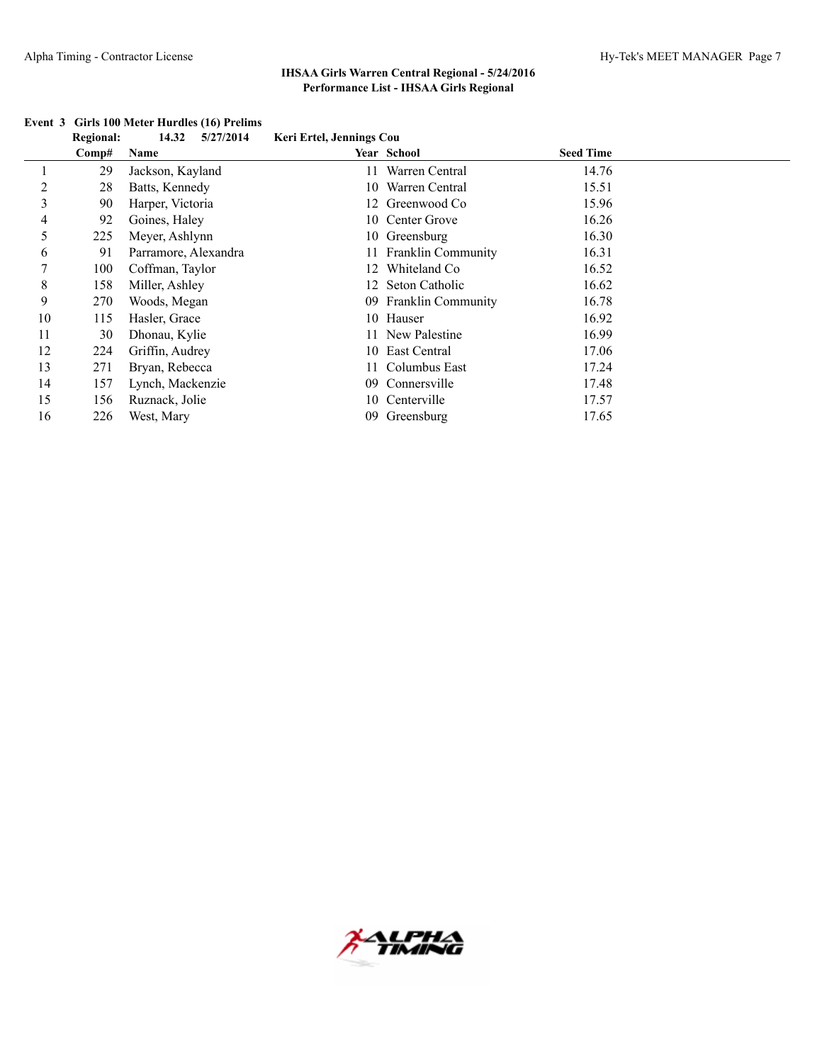|    | <b>Regional:</b> | 14.32<br>5/27/2014   | Keri Ertel, Jennings Cou |                       |                  |  |
|----|------------------|----------------------|--------------------------|-----------------------|------------------|--|
|    | Comp#            | Name                 |                          | <b>Year School</b>    | <b>Seed Time</b> |  |
|    | 29               | Jackson, Kayland     |                          | 11 Warren Central     | 14.76            |  |
| 2  | 28               | Batts, Kennedy       |                          | 10 Warren Central     | 15.51            |  |
| 3  | 90               | Harper, Victoria     |                          | 12 Greenwood Co       | 15.96            |  |
| 4  | 92               | Goines, Haley        |                          | 10 Center Grove       | 16.26            |  |
| 5  | 225              | Meyer, Ashlynn       |                          | 10 Greensburg         | 16.30            |  |
| 6  | 91               | Parramore, Alexandra |                          | 11 Franklin Community | 16.31            |  |
| 7  | 100              | Coffman, Taylor      | 12                       | Whiteland Co          | 16.52            |  |
| 8  | 158              | Miller, Ashley       |                          | 12 Seton Catholic     | 16.62            |  |
| 9  | 270              | Woods, Megan         |                          | 09 Franklin Community | 16.78            |  |
| 10 | 115              | Hasler, Grace        |                          | 10 Hauser             | 16.92            |  |
| 11 | 30               | Dhonau, Kylie        |                          | 11 New Palestine      | 16.99            |  |
| 12 | 224              | Griffin, Audrey      |                          | 10 East Central       | 17.06            |  |
| 13 | 271              | Bryan, Rebecca       |                          | 11 Columbus East      | 17.24            |  |
| 14 | 157              | Lynch, Mackenzie     | 09.                      | Connersville          | 17.48            |  |
| 15 | 156              | Ruznack, Jolie       |                          | 10 Centerville        | 17.57            |  |
| 16 | 226              | West, Mary           | 09                       | Greensburg            | 17.65            |  |

#### **Event 3 Girls 100 Meter Hurdles (16) Prelims**

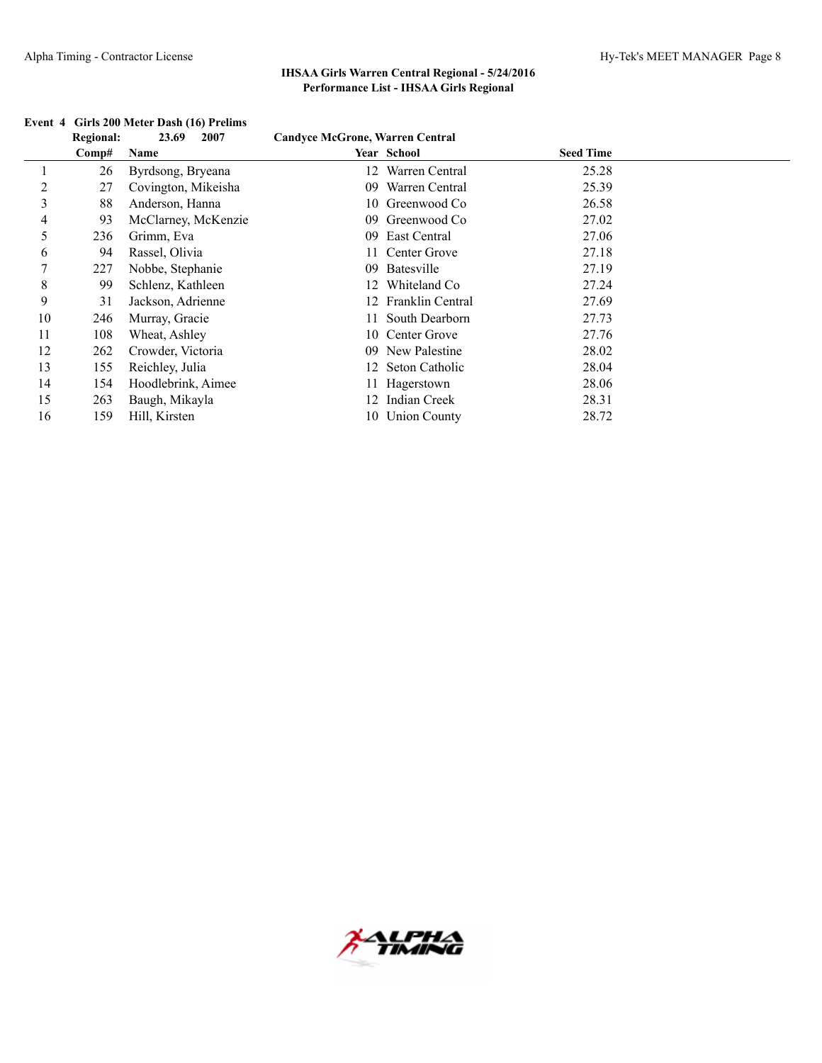|    | <b>Regional:</b> | 2007<br>23.69       | <b>Candyce McGrone, Warren Central</b> |                     |                  |
|----|------------------|---------------------|----------------------------------------|---------------------|------------------|
|    | Comp#            | Name                |                                        | Year School         | <b>Seed Time</b> |
|    | 26               | Byrdsong, Bryeana   | 12                                     | Warren Central      | 25.28            |
| 2  | 27               | Covington, Mikeisha | 09                                     | Warren Central      | 25.39            |
| 3  | 88               | Anderson, Hanna     | 10                                     | Greenwood Co        | 26.58            |
| 4  | 93               | McClarney, McKenzie | 09                                     | Greenwood Co        | 27.02            |
| 5  | 236              | Grimm, Eva          | 09                                     | East Central        | 27.06            |
| 6  | 94               | Rassel, Olivia      |                                        | 11 Center Grove     | 27.18            |
| 7  | 227              | Nobbe, Stephanie    | 09                                     | Batesville          | 27.19            |
| 8  | 99               | Schlenz, Kathleen   | 12                                     | Whiteland Co        | 27.24            |
| 9  | 31               | Jackson, Adrienne   |                                        | 12 Franklin Central | 27.69            |
| 10 | 246              | Murray, Gracie      |                                        | 11 South Dearborn   | 27.73            |
| 11 | 108              | Wheat, Ashley       |                                        | 10 Center Grove     | 27.76            |
| 12 | 262              | Crowder, Victoria   | 09.                                    | New Palestine       | 28.02            |
| 13 | 155              | Reichley, Julia     |                                        | 12 Seton Catholic   | 28.04            |
| 14 | 154              | Hoodlebrink, Aimee  |                                        | 11 Hagerstown       | 28.06            |
| 15 | 263              | Baugh, Mikayla      | 12.                                    | Indian Creek        | 28.31            |
| 16 | 159              | Hill, Kirsten       |                                        | 10 Union County     | 28.72            |

### **Event 4 Girls 200 Meter Dash (16) Prelims**

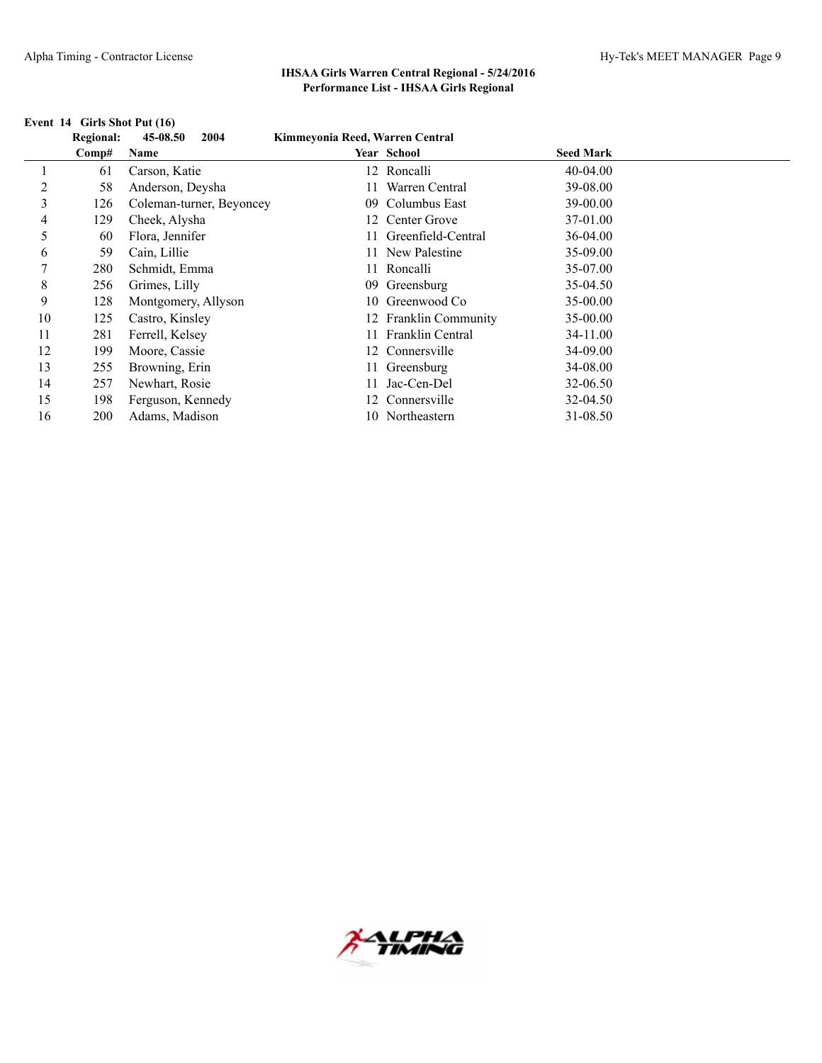|    | <b>Regional:</b> | 45-08.50<br>2004         | Kimmeyonia Reed, Warren Central |                       |                  |  |
|----|------------------|--------------------------|---------------------------------|-----------------------|------------------|--|
|    | Comp#            | Name                     |                                 | <b>Year School</b>    | <b>Seed Mark</b> |  |
|    | 61               | Carson, Katie            |                                 | 12 Roncalli           | $40-04.00$       |  |
| 2  | 58               | Anderson, Deysha         |                                 | Warren Central        | 39-08.00         |  |
| 3  | 126              | Coleman-turner, Beyoncey | 09.                             | Columbus East         | 39-00.00         |  |
| 4  | 129              | Cheek, Alysha            |                                 | 12 Center Grove       | 37-01.00         |  |
| 5  | 60               | Flora, Jennifer          |                                 | 11 Greenfield-Central | 36-04.00         |  |
| 6  | 59               | Cain, Lillie             |                                 | 11 New Palestine      | 35-09.00         |  |
| 7  | 280              | Schmidt, Emma            |                                 | 11 Roncalli           | 35-07.00         |  |
| 8  | 256              | Grimes, Lilly            | 09.                             | Greensburg            | 35-04.50         |  |
| 9  | 128              | Montgomery, Allyson      |                                 | 10 Greenwood Co       | $35 - 00.00$     |  |
| 10 | 125              | Castro, Kinsley          |                                 | 12 Franklin Community | $35 - 00.00$     |  |
| 11 | 281              | Ferrell, Kelsey          |                                 | 11 Franklin Central   | 34-11.00         |  |
| 12 | 199              | Moore, Cassie            | 12                              | Connersville          | 34-09.00         |  |
| 13 | 255              | Browning, Erin           |                                 | 11 Greensburg         | 34-08.00         |  |
| 14 | 257              | Newhart, Rosie           |                                 | Jac-Cen-Del           | 32-06.50         |  |
| 15 | 198              | Ferguson, Kennedy        |                                 | 12 Connersville       | 32-04.50         |  |
| 16 | 200              | Adams, Madison           |                                 | 10 Northeastern       | 31-08.50         |  |

#### **Event 14 Girls Shot Put (16)**

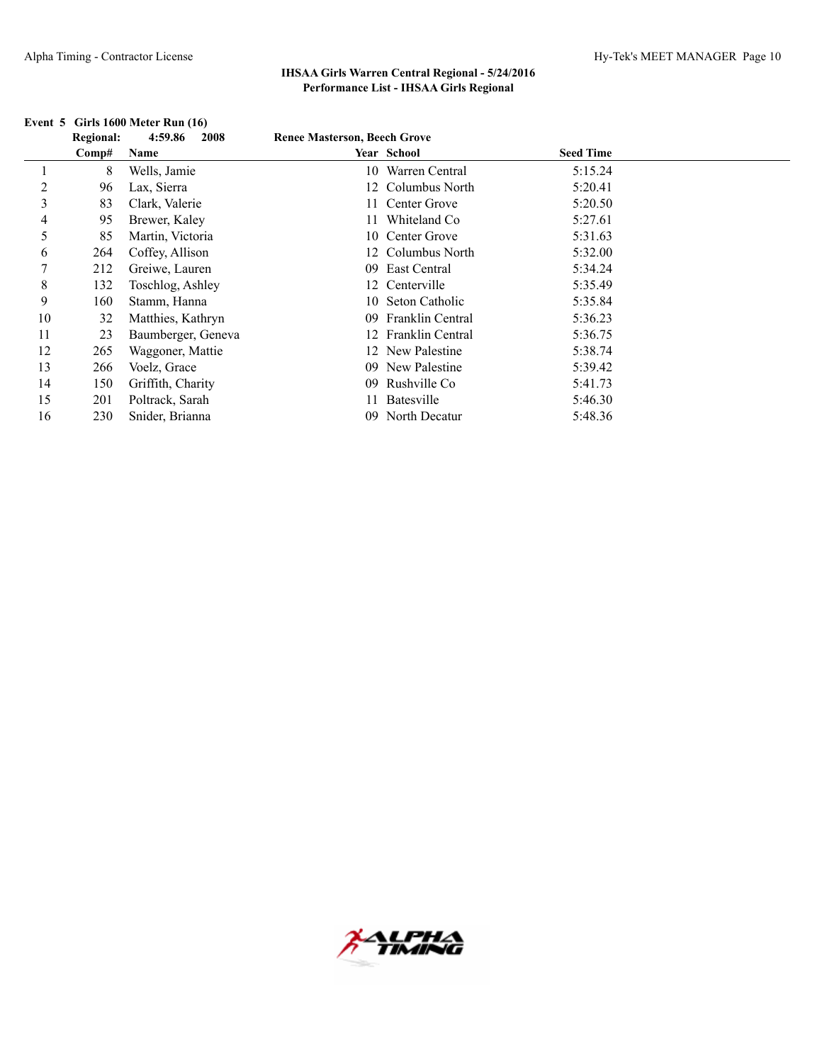# **Event 5 Girls 1600 Meter Run (16)**<br>**Personal:** 4.50.86 2008

|    |                  | EVENT 3 GIFTS TOOD IVICLET KUIL (10) |                                     |                     |                  |  |
|----|------------------|--------------------------------------|-------------------------------------|---------------------|------------------|--|
|    | <b>Regional:</b> | 4:59.86<br>2008                      | <b>Renee Masterson, Beech Grove</b> |                     |                  |  |
|    | Comp#            | Name                                 |                                     | Year School         | <b>Seed Time</b> |  |
|    | 8                | Wells, Jamie                         |                                     | 10 Warren Central   | 5:15.24          |  |
| 2  | 96               | Lax, Sierra                          |                                     | 12 Columbus North   | 5:20.41          |  |
| 3  | 83               | Clark, Valerie                       |                                     | 11 Center Grove     | 5:20.50          |  |
| 4  | 95               | Brewer, Kaley                        |                                     | 11 Whiteland Co     | 5:27.61          |  |
| 5  | 85               | Martin, Victoria                     |                                     | 10 Center Grove     | 5:31.63          |  |
| 6  | 264              | Coffey, Allison                      |                                     | 12 Columbus North   | 5:32.00          |  |
| 7  | 212              | Greiwe, Lauren                       | 09 <sup>°</sup>                     | East Central        | 5:34.24          |  |
| 8  | 132              | Toschlog, Ashley                     |                                     | 12 Centerville      | 5:35.49          |  |
| 9  | 160              | Stamm, Hanna                         |                                     | 10 Seton Catholic   | 5:35.84          |  |
| 10 | 32               | Matthies, Kathryn                    | $^{09}$                             | Franklin Central    | 5:36.23          |  |
| 11 | 23               | Baumberger, Geneva                   |                                     | 12 Franklin Central | 5:36.75          |  |
| 12 | 265              | Waggoner, Mattie                     |                                     | 12 New Palestine    | 5:38.74          |  |
| 13 | 266              | Voelz, Grace                         | $^{09}$                             | New Palestine       | 5:39.42          |  |
| 14 | 150              | Griffith, Charity                    | 09                                  | Rushville Co        | 5:41.73          |  |
| 15 | 201              | Poltrack, Sarah                      |                                     | Batesville          | 5:46.30          |  |
| 16 | 230              | Snider, Brianna                      | 09                                  | North Decatur       | 5:48.36          |  |

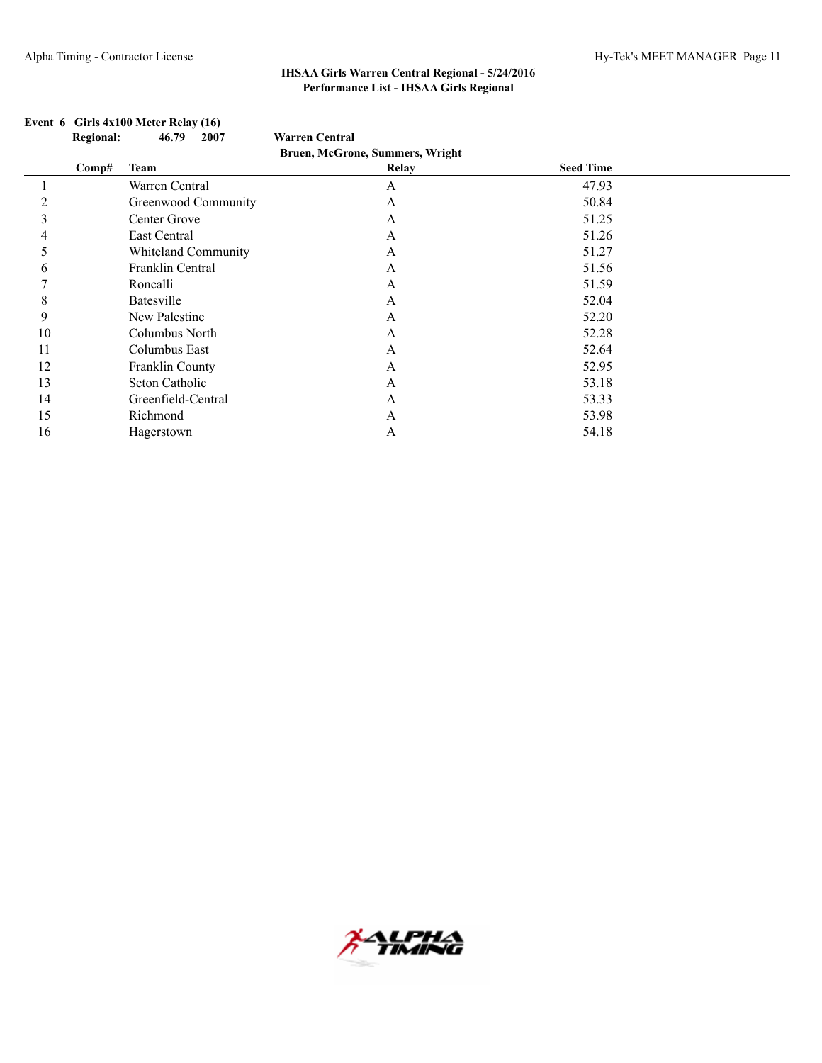|              | <b>Regional:</b> | 46.79<br>2007       | <b>Warren Central</b>           |                  |  |
|--------------|------------------|---------------------|---------------------------------|------------------|--|
|              |                  |                     | Bruen, McGrone, Summers, Wright |                  |  |
|              | Comp#            | <b>Team</b>         | <b>Relay</b>                    | <b>Seed Time</b> |  |
|              |                  | Warren Central      | A                               | 47.93            |  |
|              |                  | Greenwood Community | A                               | 50.84            |  |
|              |                  | Center Grove        | A                               | 51.25            |  |
| 4            |                  | East Central        | A                               | 51.26            |  |
|              |                  | Whiteland Community | A                               | 51.27            |  |
| <sub>0</sub> |                  | Franklin Central    | A                               | 51.56            |  |
|              |                  | Roncalli            | A                               | 51.59            |  |
| 8            |                  | Batesville          | A                               | 52.04            |  |
| 9            |                  | New Palestine       | A                               | 52.20            |  |
| 10           |                  | Columbus North      | A                               | 52.28            |  |
| 11           |                  | Columbus East       | A                               | 52.64            |  |
| 12           |                  | Franklin County     | A                               | 52.95            |  |
| 13           |                  | Seton Catholic      | A                               | 53.18            |  |
| 14           |                  | Greenfield-Central  | A                               | 53.33            |  |
| 15           |                  | Richmond            | A                               | 53.98            |  |
| 16           |                  | Hagerstown          | A                               | 54.18            |  |

## **Event 6 Girls 4x100 Meter Relay (16)**

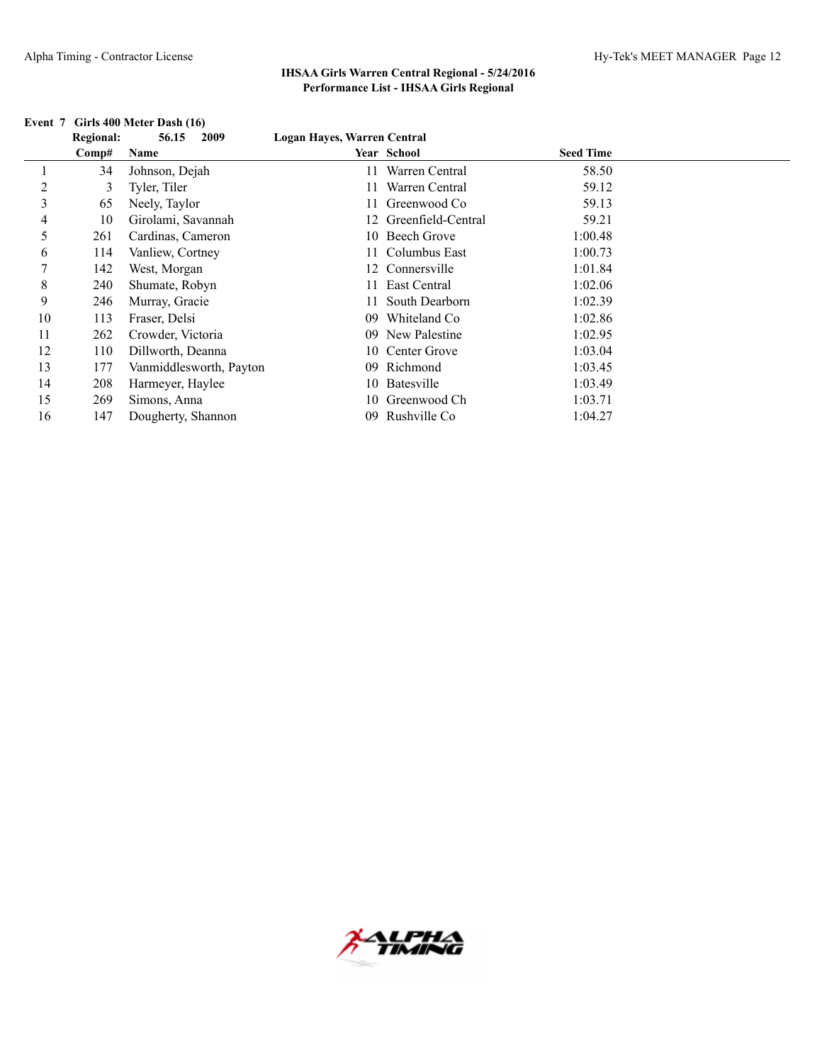|    | <b>Regional:</b> | 2009<br>56.15           | Logan Hayes, Warren Central |                       |                  |  |
|----|------------------|-------------------------|-----------------------------|-----------------------|------------------|--|
|    | Comp#            | Name                    |                             | Year School           | <b>Seed Time</b> |  |
|    | 34               | Johnson, Dejah          |                             | Warren Central        | 58.50            |  |
| 2  | 3                | Tyler, Tiler            |                             | Warren Central        | 59.12            |  |
| 3  | 65               | Neely, Taylor           |                             | Greenwood Co          | 59.13            |  |
| 4  | 10               | Girolami, Savannah      |                             | 12 Greenfield-Central | 59.21            |  |
| 5  | 261              | Cardinas, Cameron       |                             | 10 Beech Grove        | 1:00.48          |  |
| 6  | 114              | Vanliew, Cortney        |                             | 11 Columbus East      | 1:00.73          |  |
| 7  | 142              | West, Morgan            |                             | 12 Connersville       | 1:01.84          |  |
| 8  | 240              | Shumate, Robyn          |                             | 11 East Central       | 1:02.06          |  |
| 9  | 246              | Murray, Gracie          |                             | 11 South Dearborn     | 1:02.39          |  |
| 10 | 113              | Fraser, Delsi           | 09                          | Whiteland Co.         | 1:02.86          |  |
| 11 | 262              | Crowder, Victoria       | $09-1$                      | New Palestine         | 1:02.95          |  |
| 12 | 110              | Dillworth, Deanna       |                             | 10 Center Grove       | 1:03.04          |  |
| 13 | 177              | Vanmiddlesworth, Payton | 09                          | Richmond              | 1:03.45          |  |
| 14 | 208              | Harmeyer, Haylee        |                             | 10 Batesville         | 1:03.49          |  |
| 15 | 269              | Simons, Anna            | 10.                         | Greenwood Ch          | 1:03.71          |  |
| 16 | 147              | Dougherty, Shannon      | 09                          | Rushville Co          | 1:04.27          |  |

#### **Event 7 Girls 400 Meter Dash (16)**

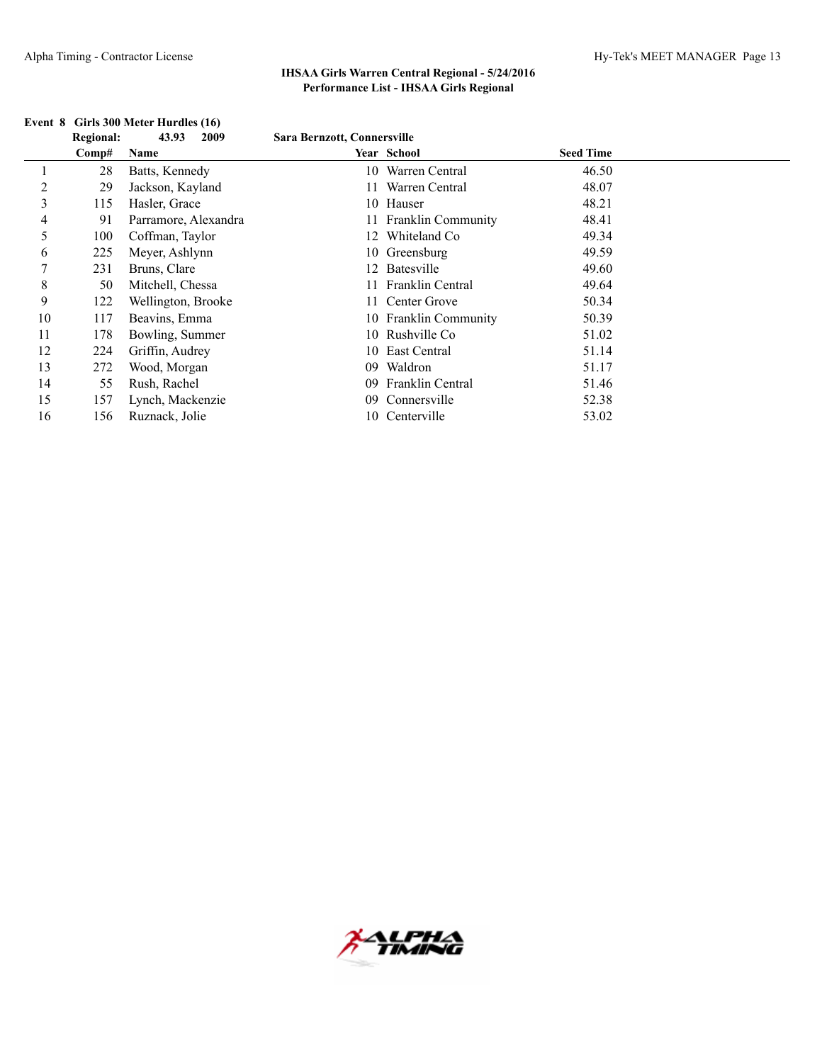|                | <b>Regional:</b><br>43.93<br>2009 |                      | Sara Bernzott, Connersville |                       |                  |  |
|----------------|-----------------------------------|----------------------|-----------------------------|-----------------------|------------------|--|
|                | Comp#                             | Name                 |                             | Year School           | <b>Seed Time</b> |  |
|                | 28                                | Batts, Kennedy       |                             | 10 Warren Central     | 46.50            |  |
| $\overline{c}$ | 29                                | Jackson, Kayland     | 11                          | Warren Central        | 48.07            |  |
| 3              | 115                               | Hasler, Grace        |                             | 10 Hauser             | 48.21            |  |
| 4              | 91                                | Parramore, Alexandra |                             | 11 Franklin Community | 48.41            |  |
| 5              | 100                               | Coffman, Taylor      |                             | 12 Whiteland Co       | 49.34            |  |
| 6              | 225                               | Meyer, Ashlynn       |                             | 10 Greensburg         | 49.59            |  |
| $\mathcal{L}$  | 231                               | Bruns, Clare         |                             | 12 Batesville         | 49.60            |  |
| 8              | 50                                | Mitchell, Chessa     |                             | 11 Franklin Central   | 49.64            |  |
| 9              | 122                               | Wellington, Brooke   |                             | 11 Center Grove       | 50.34            |  |
| 10             | 117                               | Beavins, Emma        |                             | 10 Franklin Community | 50.39            |  |
| 11             | 178                               | Bowling, Summer      |                             | 10 Rushville Co       | 51.02            |  |
| 12             | 224                               | Griffin, Audrey      |                             | 10 East Central       | 51.14            |  |
| 13             | 272                               | Wood, Morgan         | 09                          | Waldron               | 51.17            |  |
| 14             | 55                                | Rush, Rachel         | 09                          | Franklin Central      | 51.46            |  |
| 15             | 157                               | Lynch, Mackenzie     | 09.                         | Connersville          | 52.38            |  |
| 16             | 156                               | Ruznack, Jolie       |                             | 10 Centerville        | 53.02            |  |

## **Event 8 Girls 300 Meter Hurdles (16)**

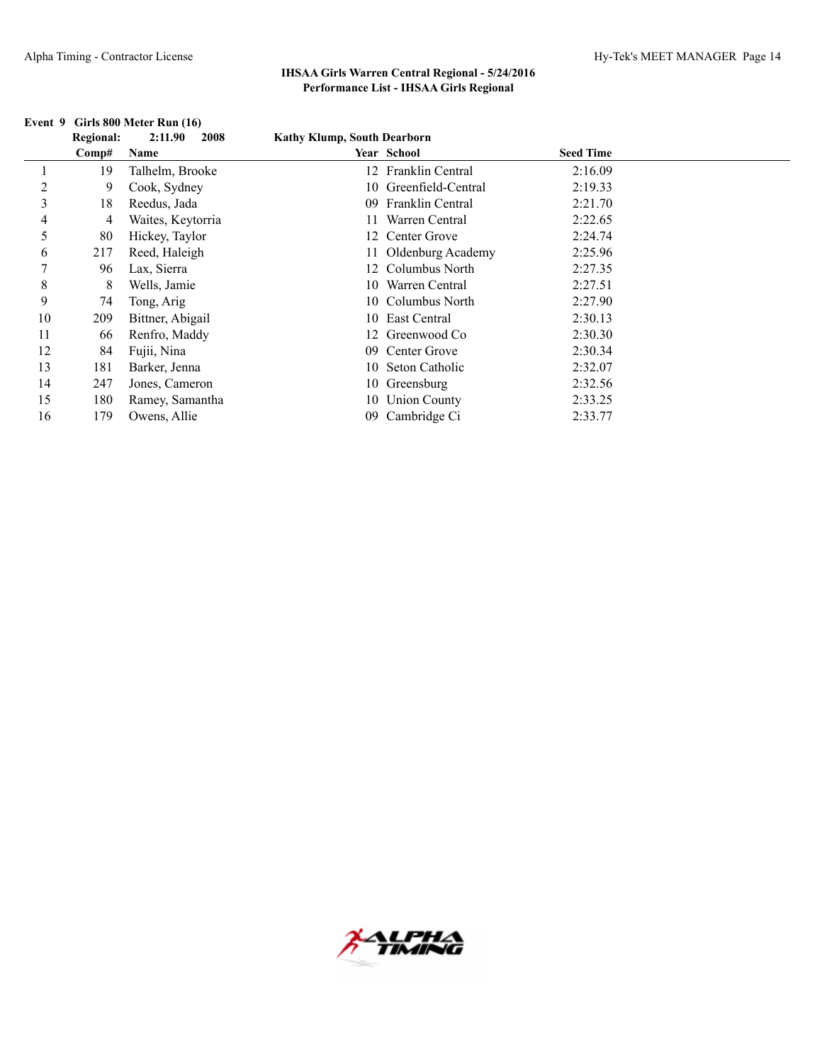|    | <b>Regional:</b> | 2:11.90<br>2008   | <b>Kathy Klump, South Dearborn</b> |                       |                  |  |
|----|------------------|-------------------|------------------------------------|-----------------------|------------------|--|
|    | Comp#            | Name              |                                    | Year School           | <b>Seed Time</b> |  |
|    | 19               | Talhelm, Brooke   |                                    | 12 Franklin Central   | 2:16.09          |  |
| 2  | 9                | Cook, Sydney      |                                    | 10 Greenfield-Central | 2:19.33          |  |
| 3  | 18               | Reedus, Jada      |                                    | 09 Franklin Central   | 2:21.70          |  |
| 4  | 4                | Waites, Keytorria |                                    | Warren Central        | 2:22.65          |  |
| 5  | 80               | Hickey, Taylor    |                                    | 12 Center Grove       | 2:24.74          |  |
| 6  | 217              | Reed, Haleigh     |                                    | 11 Oldenburg Academy  | 2:25.96          |  |
| 7  | 96               | Lax, Sierra       |                                    | 12 Columbus North     | 2:27.35          |  |
| 8  | 8                | Wells, Jamie      |                                    | 10 Warren Central     | 2:27.51          |  |
| 9  | 74               | Tong, Arig        |                                    | 10 Columbus North     | 2:27.90          |  |
| 10 | 209              | Bittner, Abigail  |                                    | 10 East Central       | 2:30.13          |  |
| 11 | 66               | Renfro, Maddy     |                                    | 12 Greenwood Co       | 2:30.30          |  |
| 12 | 84               | Fujii, Nina       | 09                                 | Center Grove          | 2:30.34          |  |
| 13 | 181              | Barker, Jenna     |                                    | 10 Seton Catholic     | 2:32.07          |  |
| 14 | 247              | Jones, Cameron    |                                    | 10 Greensburg         | 2:32.56          |  |
| 15 | 180              | Ramey, Samantha   |                                    | 10 Union County       | 2:33.25          |  |
| 16 | 179              | Owens, Allie      | 09                                 | Cambridge Ci          | 2:33.77          |  |

## **Event 9 Girls 800 Meter Run (16)**

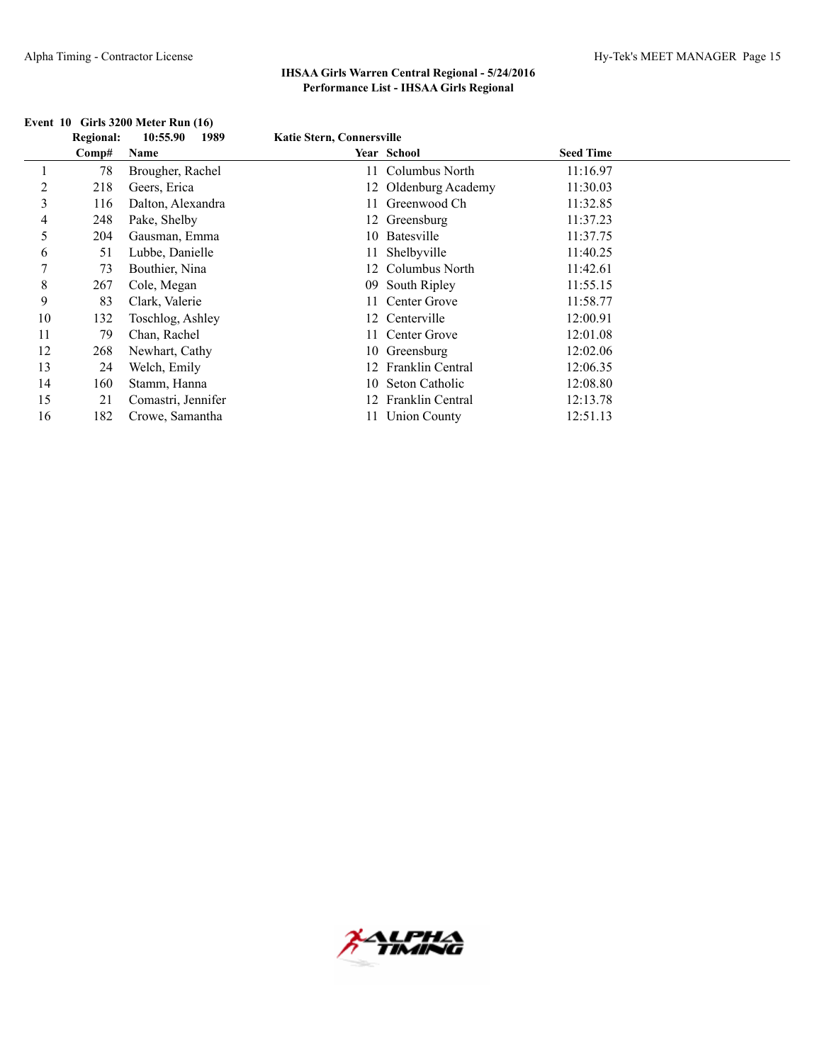|             | <b>Regional:</b> | 10:55.90<br>1989   | Katie Stern, Connersville |                      |                  |  |
|-------------|------------------|--------------------|---------------------------|----------------------|------------------|--|
|             | Comp#            | Name               |                           | Year School          | <b>Seed Time</b> |  |
|             | 78               | Brougher, Rachel   | 11                        | Columbus North       | 11:16.97         |  |
| 2           | 218              | Geers, Erica       |                           | 12 Oldenburg Academy | 11:30.03         |  |
| 3           | 116              | Dalton, Alexandra  |                           | Greenwood Ch         | 11:32.85         |  |
| 4           | 248              | Pake, Shelby       |                           | 12 Greensburg        | 11:37.23         |  |
| 5           | 204              | Gausman, Emma      |                           | 10 Batesville        | 11:37.75         |  |
| 6           | 51               | Lubbe, Danielle    |                           | 11 Shelbyville       | 11:40.25         |  |
| 7           | 73               | Bouthier, Nina     |                           | 12 Columbus North    | 11:42.61         |  |
| $\,$ 8 $\,$ | 267              | Cole, Megan        |                           | 09 South Ripley      | 11:55.15         |  |
| 9           | 83               | Clark, Valerie     |                           | 11 Center Grove      | 11:58.77         |  |
| 10          | 132              | Toschlog, Ashley   |                           | 12 Centerville       | 12:00.91         |  |
| 11          | 79               | Chan, Rachel       |                           | 11 Center Grove      | 12:01.08         |  |
| 12          | 268              | Newhart, Cathy     |                           | 10 Greensburg        | 12:02.06         |  |
| 13          | 24               | Welch, Emily       |                           | 12 Franklin Central  | 12:06.35         |  |
| 14          | 160              | Stamm, Hanna       | 10                        | Seton Catholic       | 12:08.80         |  |
| 15          | 21               | Comastri, Jennifer | 12.                       | Franklin Central     | 12:13.78         |  |
| 16          | 182              | Crowe, Samantha    |                           | <b>Union County</b>  | 12:51.13         |  |

## **Event 10 Girls 3200 Meter Run (16)**